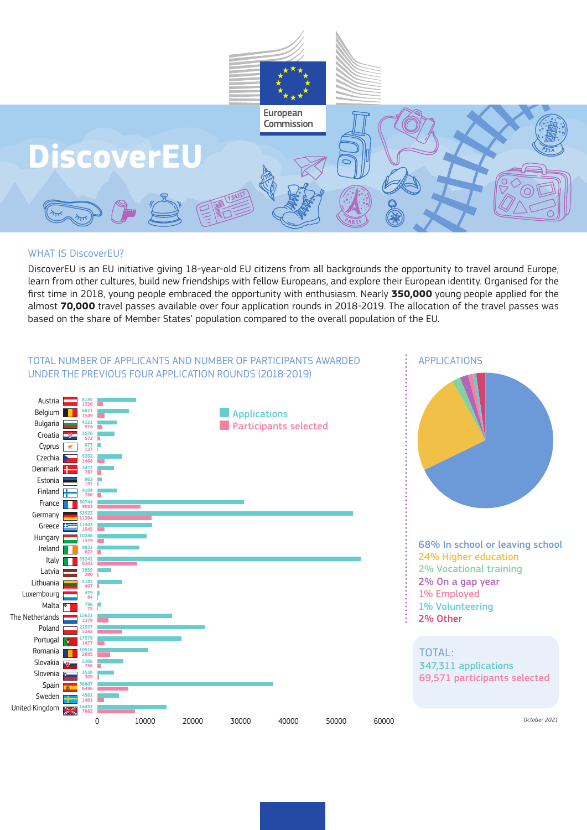

## WHAT IS DiscoverEU?

DiscoverEU is an EU initiative giving 18-year-old EU citizens from all backgrounds the opportunity to travel around Europe, learn from other cultures, build new friendships with fellow Europeans, and explore their European identity. Organised for the first time in 2018, young people embraced the opportunity with enthusiasm. Nearly **350,000** young people applied for the almost **70,000** travel passes available over four application rounds in 2018-2019. The allocation of the travel passes was based on the share of Member States' population compared to the overall population of the EU.

## TOTAL NUMBER OF APPLICANTS AND NUMBER OF PARTICIPANTS AWARDED UNDER THE PREVIOUS FOUR APPLICATION ROUNDS (2018-2019)



APPLICATIONS

68% In school or leaving school 24% Higher education 2% Vocational training 2% On a gap year 1% Employed 1% Volunteering 2% Other

TOTAL: 347,311 applications 69,571 participants selected

*October 2021*